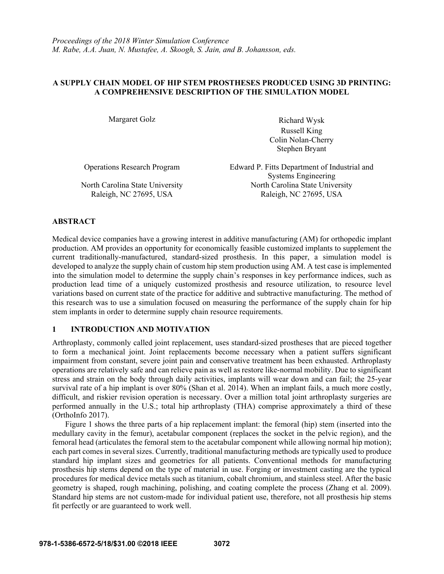## **A SUPPLY CHAIN MODEL OF HIP STEM PROSTHESES PRODUCED USING 3D PRINTING: A COMPREHENSIVE DESCRIPTION OF THE SIMULATION MODEL**

Margaret Golz **Richard Wysk**  Russell King Colin Nolan-Cherry Stephen Bryant

Operations Research Program Edward P. Fitts Department of Industrial and Systems Engineering North Carolina State University North Carolina State University Raleigh, NC 27695, USA Raleigh, NC 27695, USA

## **ABSTRACT**

Medical device companies have a growing interest in additive manufacturing (AM) for orthopedic implant production. AM provides an opportunity for economically feasible customized implants to supplement the current traditionally-manufactured, standard-sized prosthesis. In this paper, a simulation model is developed to analyze the supply chain of custom hip stem production using AM. A test case is implemented into the simulation model to determine the supply chain's responses in key performance indices, such as production lead time of a uniquely customized prosthesis and resource utilization, to resource level variations based on current state of the practice for additive and subtractive manufacturing. The method of this research was to use a simulation focused on measuring the performance of the supply chain for hip stem implants in order to determine supply chain resource requirements.

# **1 INTRODUCTION AND MOTIVATION**

Arthroplasty, commonly called joint replacement, uses standard-sized prostheses that are pieced together to form a mechanical joint. Joint replacements become necessary when a patient suffers significant impairment from constant, severe joint pain and conservative treatment has been exhausted. Arthroplasty operations are relatively safe and can relieve pain as well as restore like-normal mobility. Due to significant stress and strain on the body through daily activities, implants will wear down and can fail; the 25-year survival rate of a hip implant is over 80% (Shan et al. 2014). When an implant fails, a much more costly, difficult, and riskier revision operation is necessary. Over a million total joint arthroplasty surgeries are performed annually in the U.S.; total hip arthroplasty (THA) comprise approximately a third of these (OrthoInfo 2017).

Figure 1 shows the three parts of a hip replacement implant: the femoral (hip) stem (inserted into the medullary cavity in the femur), acetabular component (replaces the socket in the pelvic region), and the femoral head (articulates the femoral stem to the acetabular component while allowing normal hip motion); each part comes in several sizes. Currently, traditional manufacturing methods are typically used to produce standard hip implant sizes and geometries for all patients. Conventional methods for manufacturing prosthesis hip stems depend on the type of material in use. Forging or investment casting are the typical procedures for medical device metals such as titanium, cobalt chromium, and stainless steel. After the basic geometry is shaped, rough machining, polishing, and coating complete the process (Zhang et al. 2009). Standard hip stems are not custom-made for individual patient use, therefore, not all prosthesis hip stems fit perfectly or are guaranteed to work well.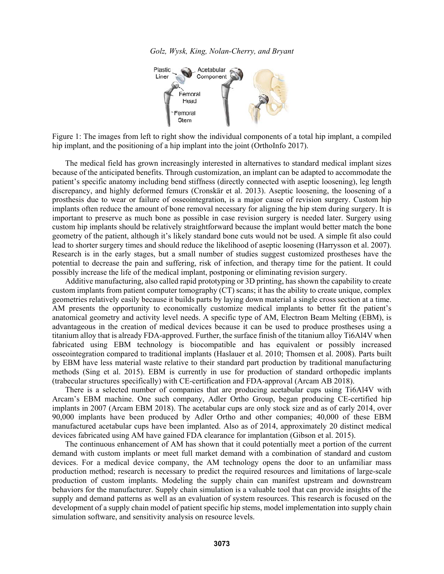*Golz, Wysk, King, Nolan-Cherry, and Bryant* 



Figure 1: The images from left to right show the individual components of a total hip implant, a compiled hip implant, and the positioning of a hip implant into the joint (OrthoInfo 2017).

The medical field has grown increasingly interested in alternatives to standard medical implant sizes because of the anticipated benefits. Through customization, an implant can be adapted to accommodate the patient's specific anatomy including bend stiffness (directly connected with aseptic loosening), leg length discrepancy, and highly deformed femurs (Cronskär et al. 2013). Aseptic loosening, the loosening of a prosthesis due to wear or failure of osseointegration, is a major cause of revision surgery. Custom hip implants often reduce the amount of bone removal necessary for aligning the hip stem during surgery. It is important to preserve as much bone as possible in case revision surgery is needed later. Surgery using custom hip implants should be relatively straightforward because the implant would better match the bone geometry of the patient, although it's likely standard bone cuts would not be used. A simple fit also could lead to shorter surgery times and should reduce the likelihood of aseptic loosening (Harrysson et al. 2007). Research is in the early stages, but a small number of studies suggest customized prostheses have the potential to decrease the pain and suffering, risk of infection, and therapy time for the patient. It could possibly increase the life of the medical implant, postponing or eliminating revision surgery.

Additive manufacturing, also called rapid prototyping or 3D printing, has shown the capability to create custom implants from patient computer tomography (CT) scans; it has the ability to create unique, complex geometries relatively easily because it builds parts by laying down material a single cross section at a time. AM presents the opportunity to economically customize medical implants to better fit the patient's anatomical geometry and activity level needs. A specific type of AM, Electron Beam Melting (EBM), is advantageous in the creation of medical devices because it can be used to produce prostheses using a titanium alloy that is already FDA-approved. Further, the surface finish of the titanium alloy Ti6Al4V when fabricated using EBM technology is biocompatible and has equivalent or possibly increased osseointegration compared to traditional implants (Haslauer et al. 2010; Thomsen et al. 2008). Parts built by EBM have less material waste relative to their standard part production by traditional manufacturing methods (Sing et al. 2015). EBM is currently in use for production of standard orthopedic implants (trabecular structures specifically) with CE-certification and FDA-approval (Arcam AB 2018).

There is a selected number of companies that are producing acetabular cups using Ti6Al4V with Arcam's EBM machine. One such company, Adler Ortho Group, began producing CE-certified hip implants in 2007 (Arcam EBM 2018). The acetabular cups are only stock size and as of early 2014, over 90,000 implants have been produced by Adler Ortho and other companies; 40,000 of these EBM manufactured acetabular cups have been implanted. Also as of 2014, approximately 20 distinct medical devices fabricated using AM have gained FDA clearance for implantation (Gibson et al. 2015).

The continuous enhancement of AM has shown that it could potentially meet a portion of the current demand with custom implants or meet full market demand with a combination of standard and custom devices. For a medical device company, the AM technology opens the door to an unfamiliar mass production method; research is necessary to predict the required resources and limitations of large-scale production of custom implants. Modeling the supply chain can manifest upstream and downstream behaviors for the manufacturer. Supply chain simulation is a valuable tool that can provide insights of the supply and demand patterns as well as an evaluation of system resources. This research is focused on the development of a supply chain model of patient specific hip stems, model implementation into supply chain simulation software, and sensitivity analysis on resource levels.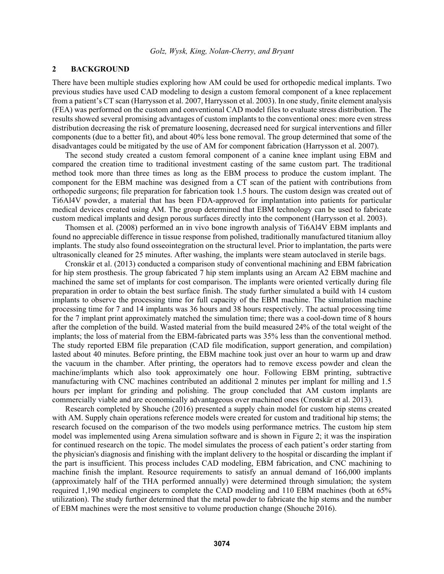## **2 BACKGROUND**

There have been multiple studies exploring how AM could be used for orthopedic medical implants. Two previous studies have used CAD modeling to design a custom femoral component of a knee replacement from a patient's CT scan (Harrysson et al. 2007, Harrysson et al. 2003). In one study, finite element analysis (FEA) was performed on the custom and conventional CAD model files to evaluate stress distribution. The results showed several promising advantages of custom implants to the conventional ones: more even stress distribution decreasing the risk of premature loosening, decreased need for surgical interventions and filler components (due to a better fit), and about 40% less bone removal. The group determined that some of the disadvantages could be mitigated by the use of AM for component fabrication (Harrysson et al. 2007).

The second study created a custom femoral component of a canine knee implant using EBM and compared the creation time to traditional investment casting of the same custom part. The traditional method took more than three times as long as the EBM process to produce the custom implant. The component for the EBM machine was designed from a CT scan of the patient with contributions from orthopedic surgeons; file preparation for fabrication took 1.5 hours. The custom design was created out of Ti6Al4V powder, a material that has been FDA-approved for implantation into patients for particular medical devices created using AM. The group determined that EBM technology can be used to fabricate custom medical implants and design porous surfaces directly into the component (Harrysson et al. 2003).

Thomsen et al. (2008) performed an in vivo bone ingrowth analysis of Ti6Al4V EBM implants and found no appreciable difference in tissue response from polished, traditionally manufactured titanium alloy implants. The study also found osseointegration on the structural level. Prior to implantation, the parts were ultrasonically cleaned for 25 minutes. After washing, the implants were steam autoclaved in sterile bags.

Cronskär et al. (2013) conducted a comparison study of conventional machining and EBM fabrication for hip stem prosthesis. The group fabricated 7 hip stem implants using an Arcam A2 EBM machine and machined the same set of implants for cost comparison. The implants were oriented vertically during file preparation in order to obtain the best surface finish. The study further simulated a build with 14 custom implants to observe the processing time for full capacity of the EBM machine. The simulation machine processing time for 7 and 14 implants was 36 hours and 38 hours respectively. The actual processing time for the 7 implant print approximately matched the simulation time; there was a cool-down time of 8 hours after the completion of the build. Wasted material from the build measured 24% of the total weight of the implants; the loss of material from the EBM-fabricated parts was 35% less than the conventional method. The study reported EBM file preparation (CAD file modification, support generation, and compilation) lasted about 40 minutes. Before printing, the EBM machine took just over an hour to warm up and draw the vacuum in the chamber. After printing, the operators had to remove excess powder and clean the machine/implants which also took approximately one hour. Following EBM printing, subtractive manufacturing with CNC machines contributed an additional 2 minutes per implant for milling and 1.5 hours per implant for grinding and polishing. The group concluded that AM custom implants are commercially viable and are economically advantageous over machined ones (Cronskär et al. 2013).

Research completed by Shouche (2016) presented a supply chain model for custom hip stems created with AM. Supply chain operations reference models were created for custom and traditional hip stems; the research focused on the comparison of the two models using performance metrics. The custom hip stem model was implemented using Arena simulation software and is shown in Figure 2; it was the inspiration for continued research on the topic. The model simulates the process of each patient's order starting from the physician's diagnosis and finishing with the implant delivery to the hospital or discarding the implant if the part is insufficient. This process includes CAD modeling, EBM fabrication, and CNC machining to machine finish the implant. Resource requirements to satisfy an annual demand of 166,000 implants (approximately half of the THA performed annually) were determined through simulation; the system required 1,190 medical engineers to complete the CAD modeling and 110 EBM machines (both at 65% utilization). The study further determined that the metal powder to fabricate the hip stems and the number of EBM machines were the most sensitive to volume production change (Shouche 2016).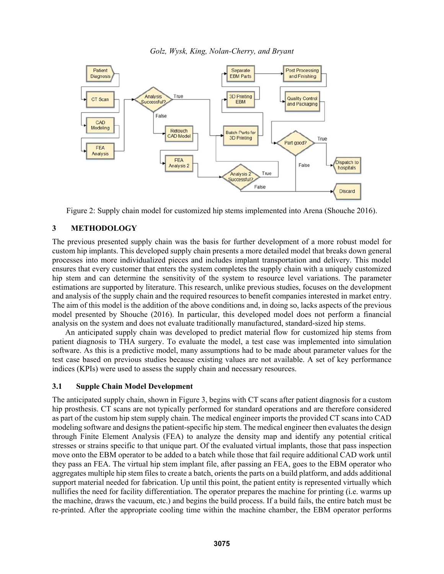

Figure 2: Supply chain model for customized hip stems implemented into Arena (Shouche 2016).

## **3 METHODOLOGY**

The previous presented supply chain was the basis for further development of a more robust model for custom hip implants. This developed supply chain presents a more detailed model that breaks down general processes into more individualized pieces and includes implant transportation and delivery. This model ensures that every customer that enters the system completes the supply chain with a uniquely customized hip stem and can determine the sensitivity of the system to resource level variations. The parameter estimations are supported by literature. This research, unlike previous studies, focuses on the development and analysis of the supply chain and the required resources to benefit companies interested in market entry. The aim of this model is the addition of the above conditions and, in doing so, lacks aspects of the previous model presented by Shouche (2016). In particular, this developed model does not perform a financial analysis on the system and does not evaluate traditionally manufactured, standard-sized hip stems.

 An anticipated supply chain was developed to predict material flow for customized hip stems from patient diagnosis to THA surgery. To evaluate the model, a test case was implemented into simulation software. As this is a predictive model, many assumptions had to be made about parameter values for the test case based on previous studies because existing values are not available. A set of key performance indices (KPIs) were used to assess the supply chain and necessary resources.

### **3.1 Supple Chain Model Development**

The anticipated supply chain, shown in Figure 3, begins with CT scans after patient diagnosis for a custom hip prosthesis. CT scans are not typically performed for standard operations and are therefore considered as part of the custom hip stem supply chain. The medical engineer imports the provided CT scans into CAD modeling software and designs the patient-specific hip stem. The medical engineer then evaluates the design through Finite Element Analysis (FEA) to analyze the density map and identify any potential critical stresses or strains specific to that unique part. Of the evaluated virtual implants, those that pass inspection move onto the EBM operator to be added to a batch while those that fail require additional CAD work until they pass an FEA. The virtual hip stem implant file, after passing an FEA, goes to the EBM operator who aggregates multiple hip stem files to create a batch, orients the parts on a build platform, and adds additional support material needed for fabrication. Up until this point, the patient entity is represented virtually which nullifies the need for facility differentiation. The operator prepares the machine for printing (i.e. warms up the machine, draws the vacuum, etc.) and begins the build process. If a build fails, the entire batch must be re-printed. After the appropriate cooling time within the machine chamber, the EBM operator performs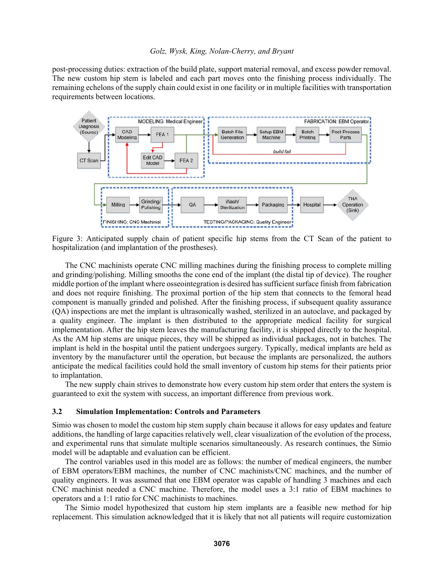post-processing duties: extraction of the build plate, support material removal, and excess powder removal. The new custom hip stem is labeled and each part moves onto the finishing process individually. The remaining echelons of the supply chain could exist in one facility or in multiple facilities with transportation requirements between locations.



Figure 3: Anticipated supply chain of patient specific hip stems from the CT Scan of the patient to hospitalization (and implantation of the prostheses).

The CNC machinists operate CNC milling machines during the finishing process to complete milling and grinding/polishing. Milling smooths the cone end of the implant (the distal tip of device). The rougher middle portion of the implant where osseointegration is desired has sufficient surface finish from fabrication and does not require finishing. The proximal portion of the hip stem that connects to the femoral head component is manually grinded and polished. After the finishing process, if subsequent quality assurance (QA) inspections are met the implant is ultrasonically washed, sterilized in an autoclave, and packaged by a quality engineer. The implant is then distributed to the appropriate medical facility for surgical implementation. After the hip stem leaves the manufacturing facility, it is shipped directly to the hospital. As the AM hip stems are unique pieces, they will be shipped as individual packages, not in batches. The implant is held in the hospital until the patient undergoes surgery. Typically, medical implants are held as inventory by the manufacturer until the operation, but because the implants are personalized, the authors anticipate the medical facilities could hold the small inventory of custom hip stems for their patients prior to implantation.

The new supply chain strives to demonstrate how every custom hip stem order that enters the system is guaranteed to exit the system with success, an important difference from previous work.

#### **3.2 Simulation Implementation: Controls and Parameters**

Simio was chosen to model the custom hip stem supply chain because it allows for easy updates and feature additions, the handling of large capacities relatively well, clear visualization of the evolution of the process, and experimental runs that simulate multiple scenarios simultaneously. As research continues, the Simio model will be adaptable and evaluation can be efficient.

The control variables used in this model are as follows: the number of medical engineers, the number of EBM operators/EBM machines, the number of CNC machinists/CNC machines, and the number of quality engineers. It was assumed that one EBM operator was capable of handling 3 machines and each CNC machinist needed a CNC machine. Therefore, the model uses a 3:1 ratio of EBM machines to operators and a 1:1 ratio for CNC machinists to machines.

The Simio model hypothesized that custom hip stem implants are a feasible new method for hip replacement. This simulation acknowledged that it is likely that not all patients will require customization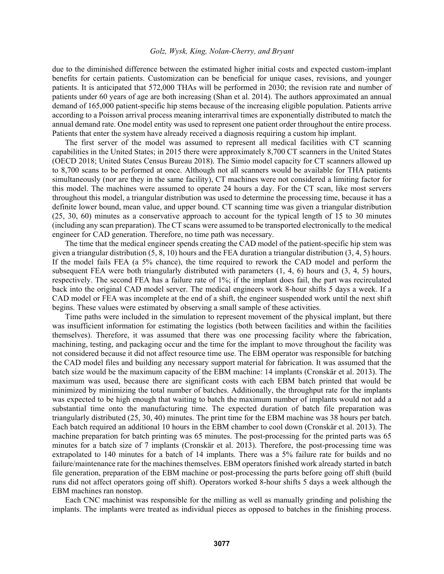due to the diminished difference between the estimated higher initial costs and expected custom-implant benefits for certain patients. Customization can be beneficial for unique cases, revisions, and younger patients. It is anticipated that 572,000 THAs will be performed in 2030; the revision rate and number of patients under 60 years of age are both increasing (Shan et al. 2014). The authors approximated an annual demand of 165,000 patient-specific hip stems because of the increasing eligible population. Patients arrive according to a Poisson arrival process meaning interarrival times are exponentially distributed to match the annual demand rate. One model entity was used to represent one patient order throughout the entire process. Patients that enter the system have already received a diagnosis requiring a custom hip implant.

The first server of the model was assumed to represent all medical facilities with CT scanning capabilities in the United States; in 2015 there were approximately 8,700 CT scanners in the United States (OECD 2018; United States Census Bureau 2018). The Simio model capacity for CT scanners allowed up to 8,700 scans to be performed at once. Although not all scanners would be available for THA patients simultaneously (nor are they in the same facility), CT machines were not considered a limiting factor for this model. The machines were assumed to operate 24 hours a day. For the CT scan, like most servers throughout this model, a triangular distribution was used to determine the processing time, because it has a definite lower bound, mean value, and upper bound. CT scanning time was given a triangular distribution (25, 30, 60) minutes as a conservative approach to account for the typical length of 15 to 30 minutes (including any scan preparation). The CT scans were assumed to be transported electronically to the medical engineer for CAD generation. Therefore, no time path was necessary.

The time that the medical engineer spends creating the CAD model of the patient-specific hip stem was given a triangular distribution (5, 8, 10) hours and the FEA duration a triangular distribution (3, 4, 5) hours. If the model fails FEA (a 5% chance), the time required to rework the CAD model and perform the subsequent FEA were both triangularly distributed with parameters (1, 4, 6) hours and (3, 4, 5) hours, respectively. The second FEA has a failure rate of 1%; if the implant does fail, the part was recirculated back into the original CAD model server. The medical engineers work 8-hour shifts 5 days a week. If a CAD model or FEA was incomplete at the end of a shift, the engineer suspended work until the next shift begins. These values were estimated by observing a small sample of these activities.

Time paths were included in the simulation to represent movement of the physical implant, but there was insufficient information for estimating the logistics (both between facilities and within the facilities themselves). Therefore, it was assumed that there was one processing facility where the fabrication, machining, testing, and packaging occur and the time for the implant to move throughout the facility was not considered because it did not affect resource time use. The EBM operator was responsible for batching the CAD model files and building any necessary support material for fabrication. It was assumed that the batch size would be the maximum capacity of the EBM machine: 14 implants (Cronskär et al. 2013). The maximum was used, because there are significant costs with each EBM batch printed that would be minimized by minimizing the total number of batches. Additionally, the throughput rate for the implants was expected to be high enough that waiting to batch the maximum number of implants would not add a substantial time onto the manufacturing time. The expected duration of batch file preparation was triangularly distributed (25, 30, 40) minutes. The print time for the EBM machine was 38 hours per batch. Each batch required an additional 10 hours in the EBM chamber to cool down (Cronskär et al. 2013). The machine preparation for batch printing was 65 minutes. The post-processing for the printed parts was 65 minutes for a batch size of 7 implants (Cronskär et al. 2013). Therefore, the post-processing time was extrapolated to 140 minutes for a batch of 14 implants. There was a 5% failure rate for builds and no failure/maintenance rate for the machines themselves. EBM operators finished work already started in batch file generation, preparation of the EBM machine or post-processing the parts before going off shift (build runs did not affect operators going off shift). Operators worked 8-hour shifts 5 days a week although the EBM machines ran nonstop.

Each CNC machinist was responsible for the milling as well as manually grinding and polishing the implants. The implants were treated as individual pieces as opposed to batches in the finishing process.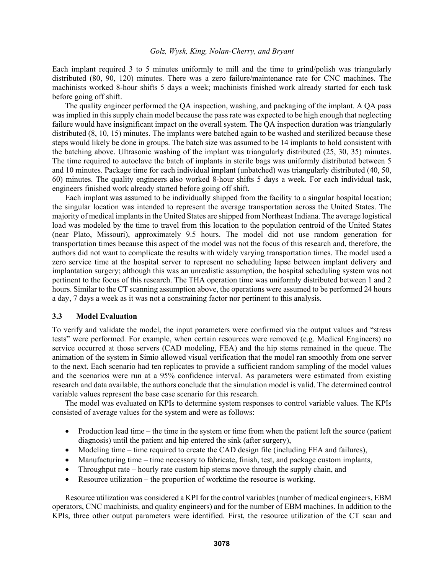Each implant required 3 to 5 minutes uniformly to mill and the time to grind/polish was triangularly distributed (80, 90, 120) minutes. There was a zero failure/maintenance rate for CNC machines. The machinists worked 8-hour shifts 5 days a week; machinists finished work already started for each task before going off shift.

The quality engineer performed the QA inspection, washing, and packaging of the implant. A QA pass was implied in this supply chain model because the pass rate was expected to be high enough that neglecting failure would have insignificant impact on the overall system. The QA inspection duration was triangularly distributed (8, 10, 15) minutes. The implants were batched again to be washed and sterilized because these steps would likely be done in groups. The batch size was assumed to be 14 implants to hold consistent with the batching above. Ultrasonic washing of the implant was triangularly distributed (25, 30, 35) minutes. The time required to autoclave the batch of implants in sterile bags was uniformly distributed between 5 and 10 minutes. Package time for each individual implant (unbatched) was triangularly distributed (40, 50, 60) minutes. The quality engineers also worked 8-hour shifts 5 days a week. For each individual task, engineers finished work already started before going off shift.

Each implant was assumed to be individually shipped from the facility to a singular hospital location; the singular location was intended to represent the average transportation across the United States. The majority of medical implants in the United States are shipped from Northeast Indiana. The average logistical load was modeled by the time to travel from this location to the population centroid of the United States (near Plato, Missouri), approximately 9.5 hours. The model did not use random generation for transportation times because this aspect of the model was not the focus of this research and, therefore, the authors did not want to complicate the results with widely varying transportation times. The model used a zero service time at the hospital server to represent no scheduling lapse between implant delivery and implantation surgery; although this was an unrealistic assumption, the hospital scheduling system was not pertinent to the focus of this research. The THA operation time was uniformly distributed between 1 and 2 hours. Similar to the CT scanning assumption above, the operations were assumed to be performed 24 hours a day, 7 days a week as it was not a constraining factor nor pertinent to this analysis.

#### **3.3 Model Evaluation**

To verify and validate the model, the input parameters were confirmed via the output values and "stress tests" were performed. For example, when certain resources were removed (e.g. Medical Engineers) no service occurred at those servers (CAD modeling, FEA) and the hip stems remained in the queue. The animation of the system in Simio allowed visual verification that the model ran smoothly from one server to the next. Each scenario had ten replicates to provide a sufficient random sampling of the model values and the scenarios were run at a 95% confidence interval. As parameters were estimated from existing research and data available, the authors conclude that the simulation model is valid. The determined control variable values represent the base case scenario for this research.

The model was evaluated on KPIs to determine system responses to control variable values. The KPIs consisted of average values for the system and were as follows:

- Production lead time the time in the system or time from when the patient left the source (patient diagnosis) until the patient and hip entered the sink (after surgery),
- Modeling time time required to create the CAD design file (including FEA and failures),
- Manufacturing time time necessary to fabricate, finish, test, and package custom implants,
- Throughput rate hourly rate custom hip stems move through the supply chain, and
- Resource utilization the proportion of worktime the resource is working.

Resource utilization was considered a KPI for the control variables (number of medical engineers, EBM operators, CNC machinists, and quality engineers) and for the number of EBM machines. In addition to the KPIs, three other output parameters were identified. First, the resource utilization of the CT scan and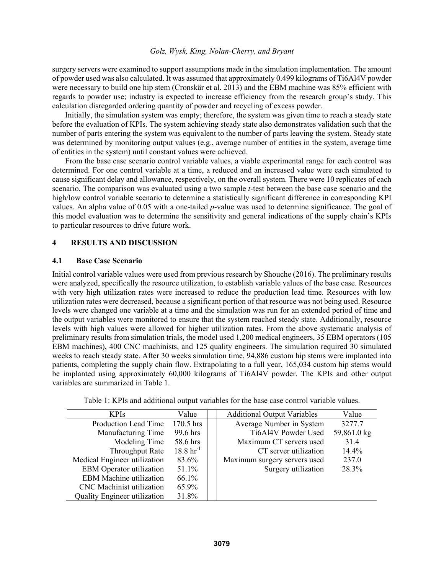surgery servers were examined to support assumptions made in the simulation implementation. The amount of powder used was also calculated. It was assumed that approximately 0.499 kilograms of Ti6Al4V powder were necessary to build one hip stem (Cronskär et al. 2013) and the EBM machine was 85% efficient with regards to powder use; industry is expected to increase efficiency from the research group's study. This calculation disregarded ordering quantity of powder and recycling of excess powder.

Initially, the simulation system was empty; therefore, the system was given time to reach a steady state before the evaluation of KPIs. The system achieving steady state also demonstrates validation such that the number of parts entering the system was equivalent to the number of parts leaving the system. Steady state was determined by monitoring output values (e.g., average number of entities in the system, average time of entities in the system) until constant values were achieved.

From the base case scenario control variable values, a viable experimental range for each control was determined. For one control variable at a time, a reduced and an increased value were each simulated to cause significant delay and allowance, respectively, on the overall system. There were 10 replicates of each scenario. The comparison was evaluated using a two sample *t*-test between the base case scenario and the high/low control variable scenario to determine a statistically significant difference in corresponding KPI values. An alpha value of 0.05 with a one-tailed *p*-value was used to determine significance. The goal of this model evaluation was to determine the sensitivity and general indications of the supply chain's KPIs to particular resources to drive future work.

## **4 RESULTS AND DISCUSSION**

### **4.1 Base Case Scenario**

Initial control variable values were used from previous research by Shouche (2016). The preliminary results were analyzed, specifically the resource utilization, to establish variable values of the base case. Resources with very high utilization rates were increased to reduce the production lead time. Resources with low utilization rates were decreased, because a significant portion of that resource was not being used. Resource levels were changed one variable at a time and the simulation was run for an extended period of time and the output variables were monitored to ensure that the system reached steady state. Additionally, resource levels with high values were allowed for higher utilization rates. From the above systematic analysis of preliminary results from simulation trials, the model used 1,200 medical engineers, 35 EBM operators (105 EBM machines), 400 CNC machinists, and 125 quality engineers. The simulation required 30 simulated weeks to reach steady state. After 30 weeks simulation time, 94,886 custom hip stems were implanted into patients, completing the supply chain flow. Extrapolating to a full year, 165,034 custom hip stems would be implanted using approximately 60,000 kilograms of Ti6Al4V powder. The KPIs and other output variables are summarized in Table 1.

| <b>KPIs</b>                         | Value                     | <b>Additional Output Variables</b> | Value       |  |
|-------------------------------------|---------------------------|------------------------------------|-------------|--|
| <b>Production Lead Time</b>         | $170.5$ hrs               | Average Number in System           | 3277.7      |  |
| Manufacturing Time                  | 99.6 hrs                  | Ti6Al4V Powder Used                | 59,861.0 kg |  |
| Modeling Time                       | 58.6 hrs                  | Maximum CT servers used            | 31.4        |  |
| Throughput Rate                     | $18.8 \,\mathrm{hr}^{-1}$ | CT server utilization              | $14.4\%$    |  |
| Medical Engineer utilization        | 83.6%                     | Maximum surgery servers used       | 237.0       |  |
| <b>EBM</b> Operator utilization     | 51.1%                     | Surgery utilization                | 28.3%       |  |
| <b>EBM</b> Machine utilization      | 66.1%                     |                                    |             |  |
| <b>CNC</b> Machinist utilization    | 65.9%                     |                                    |             |  |
| <b>Quality Engineer utilization</b> | 31.8%                     |                                    |             |  |

Table 1: KPIs and additional output variables for the base case control variable values.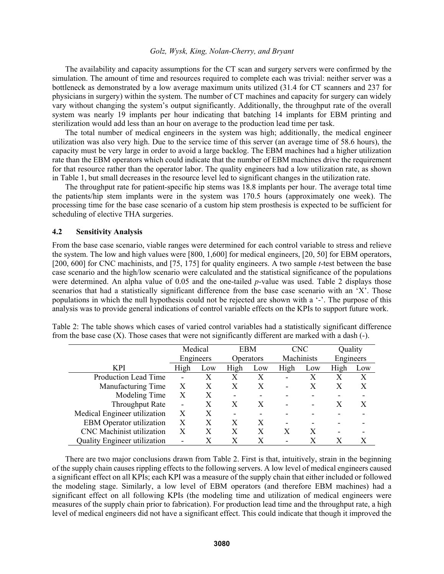The availability and capacity assumptions for the CT scan and surgery servers were confirmed by the simulation. The amount of time and resources required to complete each was trivial: neither server was a bottleneck as demonstrated by a low average maximum units utilized (31.4 for CT scanners and 237 for physicians in surgery) within the system. The number of CT machines and capacity for surgery can widely vary without changing the system's output significantly. Additionally, the throughput rate of the overall system was nearly 19 implants per hour indicating that batching 14 implants for EBM printing and sterilization would add less than an hour on average to the production lead time per task.

The total number of medical engineers in the system was high; additionally, the medical engineer utilization was also very high. Due to the service time of this server (an average time of 58.6 hours), the capacity must be very large in order to avoid a large backlog. The EBM machines had a higher utilization rate than the EBM operators which could indicate that the number of EBM machines drive the requirement for that resource rather than the operator labor. The quality engineers had a low utilization rate, as shown in Table 1, but small decreases in the resource level led to significant changes in the utilization rate.

The throughput rate for patient-specific hip stems was 18.8 implants per hour. The average total time the patients/hip stem implants were in the system was 170.5 hours (approximately one week). The processing time for the base case scenario of a custom hip stem prosthesis is expected to be sufficient for scheduling of elective THA surgeries.

### **4.2 Sensitivity Analysis**

From the base case scenario, viable ranges were determined for each control variable to stress and relieve the system. The low and high values were [800, 1,600] for medical engineers, [20, 50] for EBM operators, [200, 600] for CNC machinists, and [75, 175] for quality engineers. A two sample *t*-test between the base case scenario and the high/low scenario were calculated and the statistical significance of the populations were determined. An alpha value of 0.05 and the one-tailed *p*-value was used. Table 2 displays those scenarios that had a statistically significant difference from the base case scenario with an 'X'. Those populations in which the null hypothesis could not be rejected are shown with a '-'. The purpose of this analysis was to provide general indications of control variable effects on the KPIs to support future work.

|                                     | Medical                  |     | <b>EBM</b>       |     | <b>CNC</b> |     | Quality   |     |
|-------------------------------------|--------------------------|-----|------------------|-----|------------|-----|-----------|-----|
|                                     | Engineers                |     | <b>Operators</b> |     | Machinists |     | Engineers |     |
| <b>KPI</b>                          | High                     | Low | High             | Low | High       | Low | High      | Low |
| Production Lead Time                | $\overline{\phantom{0}}$ | X   | X                | X   | -          | X   | Х         | X   |
| Manufacturing Time                  | X                        | Х   | X                | X   |            | X   |           | X   |
| Modeling Time                       | X                        | X   | -                |     |            |     |           |     |
| <b>Throughput Rate</b>              | $\blacksquare$           | X   | X                | X   |            |     |           | X   |
| Medical Engineer utilization        | X                        | X   |                  |     |            |     |           |     |
| <b>EBM</b> Operator utilization     | X                        | X   | X                | X   |            |     |           |     |
| <b>CNC</b> Machinist utilization    | X                        | X   | X                | X   | X          | X   |           |     |
| <b>Quality Engineer utilization</b> | $\overline{\phantom{0}}$ |     |                  |     |            |     |           |     |

Table 2: The table shows which cases of varied control variables had a statistically significant difference from the base case  $(X)$ . Those cases that were not significantly different are marked with a dash  $(-)$ .

 There are two major conclusions drawn from Table 2. First is that, intuitively, strain in the beginning of the supply chain causes rippling effects to the following servers. A low level of medical engineers caused a significant effect on all KPIs; each KPI was a measure of the supply chain that either included or followed the modeling stage. Similarly, a low level of EBM operators (and therefore EBM machines) had a significant effect on all following KPIs (the modeling time and utilization of medical engineers were measures of the supply chain prior to fabrication). For production lead time and the throughput rate, a high level of medical engineers did not have a significant effect. This could indicate that though it improved the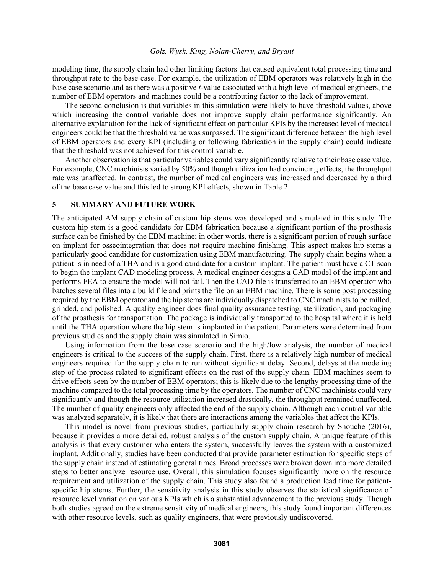modeling time, the supply chain had other limiting factors that caused equivalent total processing time and throughput rate to the base case. For example, the utilization of EBM operators was relatively high in the base case scenario and as there was a positive *t*-value associated with a high level of medical engineers, the number of EBM operators and machines could be a contributing factor to the lack of improvement.

 The second conclusion is that variables in this simulation were likely to have threshold values, above which increasing the control variable does not improve supply chain performance significantly. An alternative explanation for the lack of significant effect on particular KPIs by the increased level of medical engineers could be that the threshold value was surpassed. The significant difference between the high level of EBM operators and every KPI (including or following fabrication in the supply chain) could indicate that the threshold was not achieved for this control variable.

 Another observation is that particular variables could vary significantly relative to their base case value. For example, CNC machinists varied by 50% and though utilization had convincing effects, the throughput rate was unaffected. In contrast, the number of medical engineers was increased and decreased by a third of the base case value and this led to strong KPI effects, shown in Table 2.

### **5 SUMMARY AND FUTURE WORK**

The anticipated AM supply chain of custom hip stems was developed and simulated in this study. The custom hip stem is a good candidate for EBM fabrication because a significant portion of the prosthesis surface can be finished by the EBM machine; in other words, there is a significant portion of rough surface on implant for osseointegration that does not require machine finishing. This aspect makes hip stems a particularly good candidate for customization using EBM manufacturing. The supply chain begins when a patient is in need of a THA and is a good candidate for a custom implant. The patient must have a CT scan to begin the implant CAD modeling process. A medical engineer designs a CAD model of the implant and performs FEA to ensure the model will not fail. Then the CAD file is transferred to an EBM operator who batches several files into a build file and prints the file on an EBM machine. There is some post processing required by the EBM operator and the hip stems are individually dispatched to CNC machinists to be milled, grinded, and polished. A quality engineer does final quality assurance testing, sterilization, and packaging of the prosthesis for transportation. The package is individually transported to the hospital where it is held until the THA operation where the hip stem is implanted in the patient. Parameters were determined from previous studies and the supply chain was simulated in Simio.

 Using information from the base case scenario and the high/low analysis, the number of medical engineers is critical to the success of the supply chain. First, there is a relatively high number of medical engineers required for the supply chain to run without significant delay. Second, delays at the modeling step of the process related to significant effects on the rest of the supply chain. EBM machines seem to drive effects seen by the number of EBM operators; this is likely due to the lengthy processing time of the machine compared to the total processing time by the operators. The number of CNC machinists could vary significantly and though the resource utilization increased drastically, the throughput remained unaffected. The number of quality engineers only affected the end of the supply chain. Although each control variable was analyzed separately, it is likely that there are interactions among the variables that affect the KPIs.

This model is novel from previous studies, particularly supply chain research by Shouche (2016), because it provides a more detailed, robust analysis of the custom supply chain. A unique feature of this analysis is that every customer who enters the system, successfully leaves the system with a customized implant. Additionally, studies have been conducted that provide parameter estimation for specific steps of the supply chain instead of estimating general times. Broad processes were broken down into more detailed steps to better analyze resource use. Overall, this simulation focuses significantly more on the resource requirement and utilization of the supply chain. This study also found a production lead time for patientspecific hip stems. Further, the sensitivity analysis in this study observes the statistical significance of resource level variation on various KPIs which is a substantial advancement to the previous study. Though both studies agreed on the extreme sensitivity of medical engineers, this study found important differences with other resource levels, such as quality engineers, that were previously undiscovered.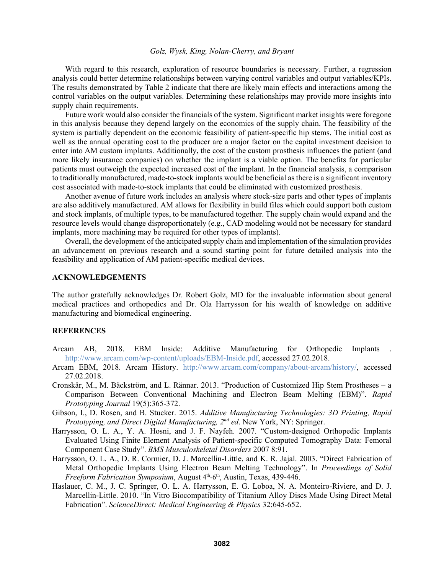With regard to this research, exploration of resource boundaries is necessary. Further, a regression analysis could better determine relationships between varying control variables and output variables/KPIs. The results demonstrated by Table 2 indicate that there are likely main effects and interactions among the control variables on the output variables. Determining these relationships may provide more insights into supply chain requirements.

 Future work would also consider the financials of the system. Significant market insights were foregone in this analysis because they depend largely on the economics of the supply chain. The feasibility of the system is partially dependent on the economic feasibility of patient-specific hip stems. The initial cost as well as the annual operating cost to the producer are a major factor on the capital investment decision to enter into AM custom implants. Additionally, the cost of the custom prosthesis influences the patient (and more likely insurance companies) on whether the implant is a viable option. The benefits for particular patients must outweigh the expected increased cost of the implant. In the financial analysis, a comparison to traditionally manufactured, made-to-stock implants would be beneficial as there is a significant inventory cost associated with made-to-stock implants that could be eliminated with customized prosthesis.

Another avenue of future work includes an analysis where stock-size parts and other types of implants are also additively manufactured. AM allows for flexibility in build files which could support both custom and stock implants, of multiple types, to be manufactured together. The supply chain would expand and the resource levels would change disproportionately (e.g., CAD modeling would not be necessary for standard implants, more machining may be required for other types of implants).

Overall, the development of the anticipated supply chain and implementation of the simulation provides an advancement on previous research and a sound starting point for future detailed analysis into the feasibility and application of AM patient-specific medical devices.

### **ACKNOWLEDGEMENTS**

The author gratefully acknowledges Dr. Robert Golz, MD for the invaluable information about general medical practices and orthopedics and Dr. Ola Harrysson for his wealth of knowledge on additive manufacturing and biomedical engineering.

### **REFERENCES**

- Arcam AB, 2018. EBM Inside: Additive Manufacturing for Orthopedic Implants . http://www.arcam.com/wp-content/uploads/EBM-Inside.pdf, accessed 27.02.2018.
- Arcam EBM, 2018. Arcam History. http://www.arcam.com/company/about-arcam/history/, accessed 27.02.2018.
- Cronskär, M., M. Bäckström, and L. Rännar. 2013. "Production of Customized Hip Stem Prostheses a Comparison Between Conventional Machining and Electron Beam Melting (EBM)". *Rapid Prototyping Journal* 19(5):365-372.
- Gibson, I., D. Rosen, and B. Stucker. 2015. *Additive Manufacturing Technologies: 3D Printing, Rapid Prototyping, and Direct Digital Manufacturing, 2nd ed*. New York, NY: Springer.
- Harrysson, O. L. A., Y. A. Hosni, and J. F. Nayfeh. 2007. "Custom-designed Orthopedic Implants Evaluated Using Finite Element Analysis of Patient-specific Computed Tomography Data: Femoral Component Case Study". *BMS Musculoskeletal Disorders* 2007 8:91.
- Harrysson, O. L. A., D. R. Cormier, D. J. Marcellin-Little, and K. R. Jajal. 2003. "Direct Fabrication of Metal Orthopedic Implants Using Electron Beam Melting Technology". In *Proceedings of Solid Freeform Fabrication Symposium*, August 4<sup>th</sup>-6<sup>th</sup>, Austin, Texas, 439-446.
- Haslauer, C. M., J. C. Springer, O. L. A. Harrysson, E. G. Loboa, N. A. Monteiro-Riviere, and D. J. Marcellin-Little. 2010. "In Vitro Biocompatibility of Titanium Alloy Discs Made Using Direct Metal Fabrication". *ScienceDirect: Medical Engineering & Physics* 32:645-652.